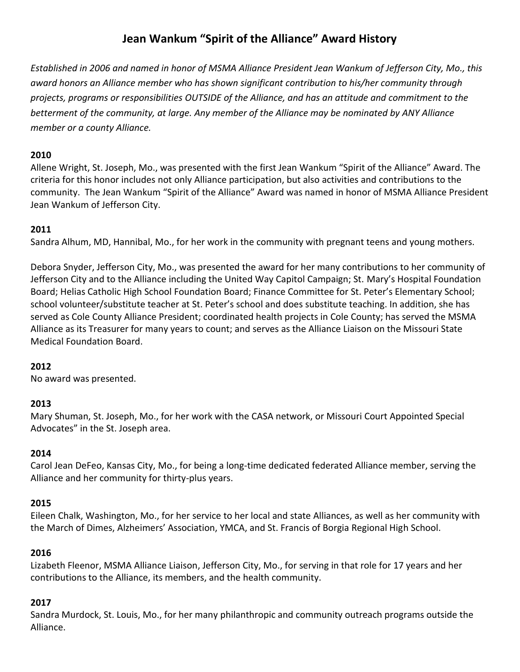# **Jean Wankum "Spirit of the Alliance" Award History**

*Established in 2006 and named in honor of MSMA Alliance President Jean Wankum of Jefferson City, Mo., this award honors an Alliance member who has shown significant contribution to his/her community through projects, programs or responsibilities OUTSIDE of the Alliance, and has an attitude and commitment to the betterment of the community, at large. Any member of the Alliance may be nominated by ANY Alliance member or a county Alliance.*

### **2010**

Allene Wright, St. Joseph, Mo., was presented with the first Jean Wankum "Spirit of the Alliance" Award. The criteria for this honor includes not only Alliance participation, but also activities and contributions to the community. The Jean Wankum "Spirit of the Alliance" Award was named in honor of MSMA Alliance President Jean Wankum of Jefferson City.

## **2011**

Sandra Alhum, MD, Hannibal, Mo., for her work in the community with pregnant teens and young mothers.

Debora Snyder, Jefferson City, Mo., was presented the award for her many contributions to her community of Jefferson City and to the Alliance including the United Way Capitol Campaign; St. Mary's Hospital Foundation Board; Helias Catholic High School Foundation Board; Finance Committee for St. Peter's Elementary School; school volunteer/substitute teacher at St. Peter's school and does substitute teaching. In addition, she has served as Cole County Alliance President; coordinated health projects in Cole County; has served the MSMA Alliance as its Treasurer for many years to count; and serves as the Alliance Liaison on the Missouri State Medical Foundation Board.

# **2012**

No award was presented.

### **2013**

Mary Shuman, St. Joseph, Mo., for her work with the CASA network, or Missouri Court Appointed Special Advocates" in the St. Joseph area.

### **2014**

Carol Jean DeFeo, Kansas City, Mo., for being a long-time dedicated federated Alliance member, serving the Alliance and her community for thirty-plus years.

### **2015**

Eileen Chalk, Washington, Mo., for her service to her local and state Alliances, as well as her community with the March of Dimes, Alzheimers' Association, YMCA, and St. Francis of Borgia Regional High School.

### **2016**

Lizabeth Fleenor, MSMA Alliance Liaison, Jefferson City, Mo., for serving in that role for 17 years and her contributions to the Alliance, its members, and the health community.

### **2017**

Sandra Murdock, St. Louis, Mo., for her many philanthropic and community outreach programs outside the Alliance.